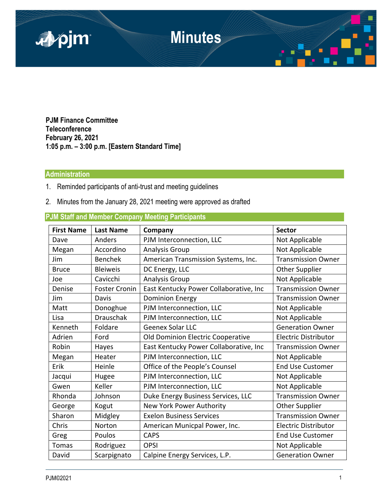

**PJM Finance Committee Teleconference February 26, 2021 1:05 p.m. – 3:00 p.m. [Eastern Standard Time]** 

## **Administration**

- 1. Reminded participants of anti-trust and meeting guidelines
- 2. Minutes from the January 28, 2021 meeting were approved as drafted

|                   |                      | <b>Um Olun and member Company meeting randopants</b> |                             |
|-------------------|----------------------|------------------------------------------------------|-----------------------------|
| <b>First Name</b> | <b>Last Name</b>     | Company                                              | <b>Sector</b>               |
| Dave              | Anders               | PJM Interconnection, LLC                             | Not Applicable              |
| Megan             | Accordino            | Analysis Group                                       | Not Applicable              |
| Jim               | <b>Benchek</b>       | American Transmission Systems, Inc.                  | <b>Transmission Owner</b>   |
| <b>Bruce</b>      | <b>Bleiweis</b>      | DC Energy, LLC                                       | <b>Other Supplier</b>       |
| Joe               | Cavicchi             | <b>Analysis Group</b>                                | Not Applicable              |
| Denise            | <b>Foster Cronin</b> | East Kentucky Power Collaborative, Inc               | <b>Transmission Owner</b>   |
| Jim               | Davis                | <b>Dominion Energy</b>                               | <b>Transmission Owner</b>   |
| Matt              | Donoghue             | PJM Interconnection, LLC                             | Not Applicable              |
| Lisa              | <b>Drauschak</b>     | PJM Interconnection, LLC                             | Not Applicable              |
| Kenneth           | Foldare              | Geenex Solar LLC                                     | <b>Generation Owner</b>     |
| Adrien            | Ford                 | Old Dominion Electric Cooperative                    | <b>Electric Distributor</b> |
| Robin             | Hayes                | East Kentucky Power Collaborative, Inc               | <b>Transmission Owner</b>   |
| Megan             | Heater               | PJM Interconnection, LLC                             | Not Applicable              |
| Erik              | Heinle               | Office of the People's Counsel                       | <b>End Use Customer</b>     |
| Jacqui            | Hugee                | PJM Interconnection, LLC                             | Not Applicable              |
| Gwen              | Keller               | PJM Interconnection, LLC                             | Not Applicable              |
| Rhonda            | Johnson              | Duke Energy Business Services, LLC                   | <b>Transmission Owner</b>   |
| George            | Kogut                | New York Power Authority                             | <b>Other Supplier</b>       |
| Sharon            | Midgley              | <b>Exelon Business Services</b>                      | <b>Transmission Owner</b>   |
| Chris             | Norton               | American Municpal Power, Inc.                        | <b>Electric Distributor</b> |
| Greg              | Poulos               | <b>CAPS</b>                                          | <b>End Use Customer</b>     |
| Tomas             | Rodriguez            | <b>OPSI</b>                                          | Not Applicable              |
| David             | Scarpignato          | Calpine Energy Services, L.P.                        | <b>Generation Owner</b>     |

**PJM Staff and Member Company Meeting Participants**